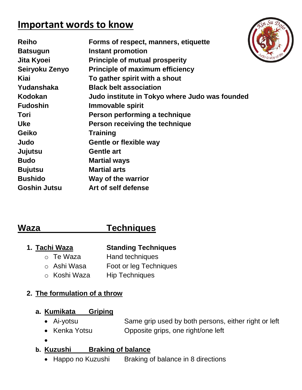## **Important words to know**

| <b>Reiho</b>        | Forms of respect, manners, etiquette           |
|---------------------|------------------------------------------------|
| <b>Batsugun</b>     | <b>Instant promotion</b>                       |
| Jita Kyoei          | <b>Principle of mutual prosperity</b>          |
| Seiryoku Zenyo      | <b>Principle of maximum efficiency</b>         |
| Kiai                | To gather spirit with a shout                  |
| Yudanshaka          | <b>Black belt association</b>                  |
| Kodokan             | Judo institute in Tokyo where Judo was founded |
| <b>Fudoshin</b>     | Immovable spirit                               |
| Tori                | Person performing a technique                  |
| <b>Uke</b>          | Person receiving the technique                 |
| <b>Geiko</b>        | <b>Training</b>                                |
| Judo                | <b>Gentle or flexible way</b>                  |
| Jujutsu             | <b>Gentle art</b>                              |
| <b>Budo</b>         | <b>Martial ways</b>                            |
| <b>Bujutsu</b>      | <b>Martial arts</b>                            |
| <b>Bushido</b>      | Way of the warrior                             |
| <b>Goshin Jutsu</b> | Art of self defense                            |
|                     |                                                |

## **Waza Techniques**

### **1. Tachi Waza Standing Techniques**

- o Te Waza Hand techniques
- o Ashi Wasa Foot or leg Techniques
- o Koshi Waza Hip Techniques

#### **2. The formulation of a throw**

### **a. Kumikata Griping**

- Ai-yotsu Same grip used by both persons, either right or left
- Kenka Yotsu **Opposite grips, one right/one left**
- $\bullet$

#### **b. Kuzushi Braking of balance**

• [Happo no Kuzushi](http://judoinfo.com/sounds/happo.wav) Braking of balance in 8 directions

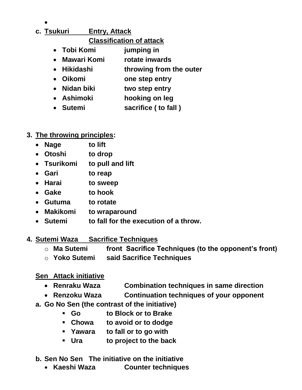## $\bullet$ **c. Tsukuri Entry, Attack**

- **Classification of attack**
- **Tobi Komi jumping in**
- **Mawari Komi rotate inwards**
- **Hikidashi throwing from the outer**
- **Oikomi one step entry**
- **Nidan biki two step entry**
- **Ashimoki hooking on leg**
- **Sutemi sacrifice ( to fall )**
- **3. The throwing principles:**
	- **Nage to lift**
	- **Otoshi to drop**
	- **Tsurikomi to pull and lift**
	- **Gari to reap**
	- **Harai to sweep**
	- **Gake to hook**
	- **Gutuma to rotate**
	- **Makikomi to wraparound**
	- **Sutemi to fall for the execution of a throw.**
- **4. Sutemi Waza Sacrifice Techniques**
	- o **Ma Sutemi front Sacrifice Techniques (to the opponent's front)**
	- o **Yoko Sutemi said Sacrifice Techniques**
	- **Sen Attack initiative**
		- **[Renraku Waza](http://judoinfo.com/sounds/renraku.wav) Combination techniques in same direction**
		- **Renzoku Waza Continuation techniques of your opponent**
	- **a. Go No Sen (the contrast of the initiative)**
		- **Go to Block or to Brake**
		- **Chowa to avoid or to dodge**
		- **Yawara to fall or to go with**
		- **Ura to project to the back**
	- **b. Sen No Sen The initiative on the initiative** 
		- **Kaeshi Waza Counter techniques**